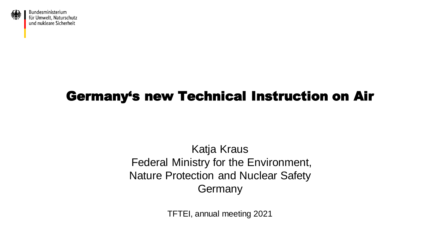

### Germany's new Technical Instruction on Air

Katja Kraus Federal Ministry for the Environment, Nature Protection and Nuclear Safety **Germany** 

TFTEI, annual meeting 2021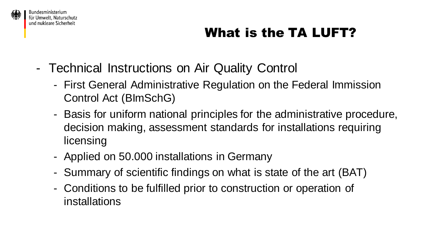

#### Bundesministerium für Umwelt. Naturschutz und nukleare Sicherheit

## What is the TA LUFT?

- Technical Instructions on Air Quality Control
	- First General Administrative Regulation on the Federal Immission Control Act (BImSchG)
	- Basis for uniform national principles for the administrative procedure, decision making, assessment standards for installations requiring licensing
	- Applied on 50.000 installations in Germany
	- Summary of scientific findings on what is state of the art (BAT)
	- Conditions to be fulfilled prior to construction or operation of installations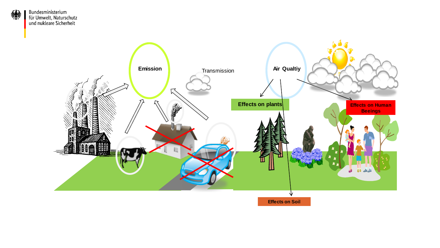

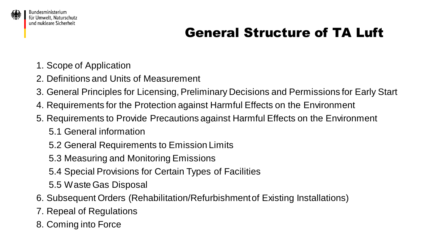

### General Structure of TA Luft

- 1. Scope of Application
- 2. Definitions and Units of Measurement
- 3. General Principles for Licensing, Preliminary Decisions and Permissions for Early Start
- 4. Requirements for the Protection against Harmful Effects on the Environment
- 5. Requirements to Provide Precautions against Harmful Effects on the Environment
	- 5.1 General information
	- 5.2 General Requirements to Emission Limits
	- 5.3 Measuring and Monitoring Emissions
	- 5.4 Special Provisions for Certain Types of Facilities
	- 5.5 Waste Gas Disposal
- 6. Subsequent Orders (Rehabilitation/Refurbishment of Existing Installations)
- 7. Repeal of Regulations
- 8. Coming into Force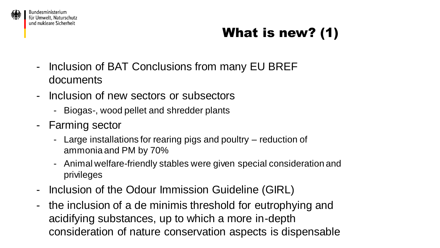

# What is new? (1)

- Inclusion of BAT Conclusions from many EU BREF documents
- Inclusion of new sectors or subsectors
	- Biogas-, wood pellet and shredder plants
- Farming sector
	- Large installations for rearing pigs and poultry reduction of ammonia and PM by 70%
	- Animal welfare-friendly stables were given special consideration and privileges
- Inclusion of the Odour Immission Guideline (GIRL)
- the inclusion of a de minimis threshold for eutrophying and acidifying substances, up to which a more in-depth consideration of nature conservation aspects is dispensable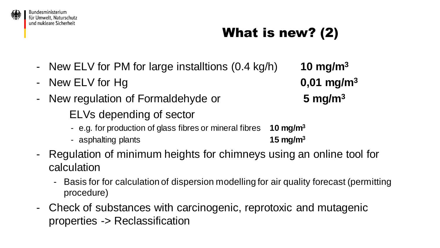

#### Bundesministerium für Umwelt, Naturschutz und nukleare Sicherheit

# What is new? (2)

- New ELV for PM for large installtions (0.4 kg/h) **10 mg/m<sup>3</sup>**
- New ELV for Hg **0,01 mg/m<sup>3</sup>**
- New regulation of Formaldehyde or **5 mg/m<sup>3</sup>**
	- ELVs depending of sector
	- e.g. for production of glass fibres or mineral fibres **10 mg/m<sup>3</sup>**
	- asphalting plants **15 mg/m<sup>3</sup>**
- Regulation of minimum heights for chimneys using an online tool for calculation
	- Basis for for calculation of dispersion modelling for air quality forecast (permitting procedure)
- Check of substances with carcinogenic, reprotoxic and mutagenic properties -> Reclassification